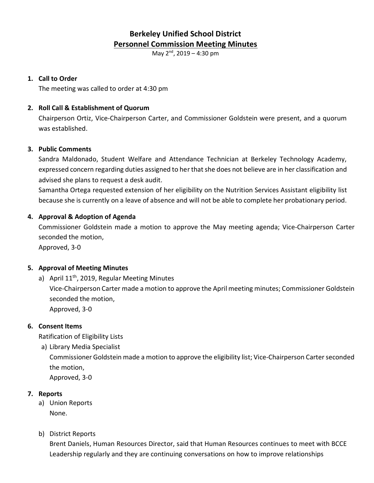# **Berkeley Unified School District Personnel Commission Meeting Minutes**

May  $2^{nd}$ , 2019 – 4:30 pm

### **1. Call to Order**

The meeting was called to order at 4:30 pm

### **2. Roll Call & Establishment of Quorum**

Chairperson Ortiz, Vice-Chairperson Carter, and Commissioner Goldstein were present, and a quorum was established.

### **3. Public Comments**

Sandra Maldonado, Student Welfare and Attendance Technician at Berkeley Technology Academy, expressed concern regarding duties assigned to her that she does not believe are in her classification and advised she plans to request a desk audit.

Samantha Ortega requested extension of her eligibility on the Nutrition Services Assistant eligibility list because she is currently on a leave of absence and will not be able to complete her probationary period.

### **4. Approval & Adoption of Agenda**

Commissioner Goldstein made a motion to approve the May meeting agenda; Vice-Chairperson Carter seconded the motion,

Approved, 3-0

# **5. Approval of Meeting Minutes**

a) April 11<sup>th</sup>, 2019, Regular Meeting Minutes Vice-Chairperson Carter made a motion to approve the April meeting minutes; Commissioner Goldstein seconded the motion, Approved, 3-0

### **6. Consent Items**

Ratification of Eligibility Lists

a) Library Media Specialist

Commissioner Goldstein made a motion to approve the eligibility list; Vice-Chairperson Carterseconded the motion,

Approved, 3-0

# **7. Reports**

- a) Union Reports None.
- b) District Reports

Brent Daniels, Human Resources Director, said that Human Resources continues to meet with BCCE Leadership regularly and they are continuing conversations on how to improve relationships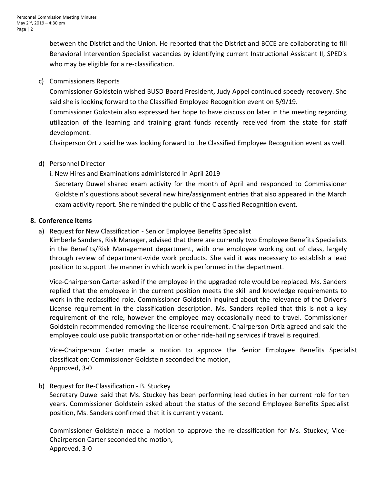between the District and the Union. He reported that the District and BCCE are collaborating to fill Behavioral Intervention Specialist vacancies by identifying current Instructional Assistant II, SPED's who may be eligible for a re-classification.

c) Commissioners Reports

Commissioner Goldstein wished BUSD Board President, Judy Appel continued speedy recovery. She said she is looking forward to the Classified Employee Recognition event on 5/9/19.

Commissioner Goldstein also expressed her hope to have discussion later in the meeting regarding utilization of the learning and training grant funds recently received from the state for staff development.

Chairperson Ortiz said he was looking forward to the Classified Employee Recognition event as well.

# d) Personnel Director

i. New Hires and Examinations administered in April 2019

Secretary Duwel shared exam activity for the month of April and responded to Commissioner Goldstein's questions about several new hire/assignment entries that also appeared in the March exam activity report. She reminded the public of the Classified Recognition event.

# **8. Conference Items**

a) Request for New Classification - Senior Employee Benefits Specialist

Kimberle Sanders, Risk Manager, advised that there are currently two Employee Benefits Specialists in the Benefits/Risk Management department, with one employee working out of class, largely through review of department-wide work products. She said it was necessary to establish a lead position to support the manner in which work is performed in the department.

Vice-Chairperson Carter asked if the employee in the upgraded role would be replaced. Ms. Sanders replied that the employee in the current position meets the skill and knowledge requirements to work in the reclassified role. Commissioner Goldstein inquired about the relevance of the Driver's License requirement in the classification description. Ms. Sanders replied that this is not a key requirement of the role, however the employee may occasionally need to travel. Commissioner Goldstein recommended removing the license requirement. Chairperson Ortiz agreed and said the employee could use public transportation or other ride-hailing services if travel is required.

Vice-Chairperson Carter made a motion to approve the Senior Employee Benefits Specialist classification; Commissioner Goldstein seconded the motion, Approved, 3-0

b) Request for Re-Classification - B. Stuckey

Secretary Duwel said that Ms. Stuckey has been performing lead duties in her current role for ten years. Commissioner Goldstein asked about the status of the second Employee Benefits Specialist position, Ms. Sanders confirmed that it is currently vacant.

Commissioner Goldstein made a motion to approve the re-classification for Ms. Stuckey; Vice-Chairperson Carter seconded the motion, Approved, 3-0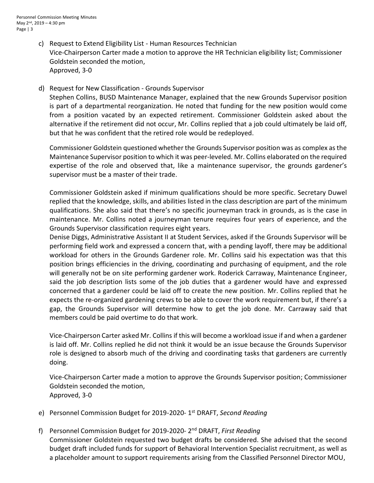- c) Request to Extend Eligibility List Human Resources Technician Vice-Chairperson Carter made a motion to approve the HR Technician eligibility list; Commissioner Goldstein seconded the motion, Approved, 3-0
- d) Request for New Classification Grounds Supervisor Stephen Collins, BUSD Maintenance Manager, explained that the new Grounds Supervisor position is part of a departmental reorganization. He noted that funding for the new position would come from a position vacated by an expected retirement. Commissioner Goldstein asked about the alternative if the retirement did not occur, Mr. Collins replied that a job could ultimately be laid off, but that he was confident that the retired role would be redeployed.

Commissioner Goldstein questioned whether the Grounds Supervisor position was as complex as the Maintenance Supervisor position to which it was peer-leveled. Mr. Collins elaborated on the required expertise of the role and observed that, like a maintenance supervisor, the grounds gardener's supervisor must be a master of their trade.

Commissioner Goldstein asked if minimum qualifications should be more specific. Secretary Duwel replied that the knowledge, skills, and abilities listed in the class description are part of the minimum qualifications. She also said that there's no specific journeyman track in grounds, as is the case in maintenance. Mr. Collins noted a journeyman tenure requires four years of experience, and the Grounds Supervisor classification requires eight years.

Denise Diggs, Administrative Assistant II at Student Services, asked if the Grounds Supervisor will be performing field work and expressed a concern that, with a pending layoff, there may be additional workload for others in the Grounds Gardener role. Mr. Collins said his expectation was that this position brings efficiencies in the driving, coordinating and purchasing of equipment, and the role will generally not be on site performing gardener work. Roderick Carraway, Maintenance Engineer, said the job description lists some of the job duties that a gardener would have and expressed concerned that a gardener could be laid off to create the new position. Mr. Collins replied that he expects the re-organized gardening crews to be able to cover the work requirement but, if there's a gap, the Grounds Supervisor will determine how to get the job done. Mr. Carraway said that members could be paid overtime to do that work.

Vice-Chairperson Carter asked Mr. Collins if this will become a workload issue if and when a gardener is laid off. Mr. Collins replied he did not think it would be an issue because the Grounds Supervisor role is designed to absorb much of the driving and coordinating tasks that gardeners are currently doing.

Vice-Chairperson Carter made a motion to approve the Grounds Supervisor position; Commissioner Goldstein seconded the motion, Approved, 3-0

- e) Personnel Commission Budget for 2019-2020- 1 st DRAFT, *Second Reading*
- f) Personnel Commission Budget for 2019-2020- 2 nd DRAFT, *First Reading* Commissioner Goldstein requested two budget drafts be considered. She advised that the second budget draft included funds for support of Behavioral Intervention Specialist recruitment, as well as a placeholder amount to support requirements arising from the Classified Personnel Director MOU,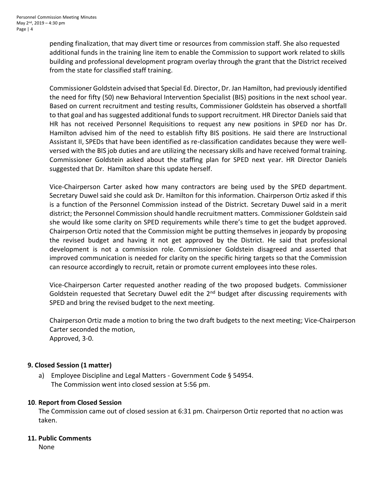pending finalization, that may divert time or resources from commission staff. She also requested additional funds in the training line item to enable the Commission to support work related to skills building and professional development program overlay through the grant that the District received from the state for classified staff training.

Commissioner Goldstein advised that Special Ed. Director, Dr. Jan Hamilton, had previously identified the need for fifty (50) new Behavioral Intervention Specialist (BIS) positions in the next school year. Based on current recruitment and testing results, Commissioner Goldstein has observed a shortfall to that goal and has suggested additional funds to support recruitment. HR Director Daniels said that HR has not received Personnel Requisitions to request any new positions in SPED nor has Dr. Hamilton advised him of the need to establish fifty BIS positions. He said there are Instructional Assistant II, SPEDs that have been identified as re-classification candidates because they were wellversed with the BIS job duties and are utilizing the necessary skills and have received formal training. Commissioner Goldstein asked about the staffing plan for SPED next year. HR Director Daniels suggested that Dr. Hamilton share this update herself.

Vice-Chairperson Carter asked how many contractors are being used by the SPED department. Secretary Duwel said she could ask Dr. Hamilton for this information. Chairperson Ortiz asked if this is a function of the Personnel Commission instead of the District. Secretary Duwel said in a merit district; the Personnel Commission should handle recruitment matters. Commissioner Goldstein said she would like some clarity on SPED requirements while there's time to get the budget approved. Chairperson Ortiz noted that the Commission might be putting themselves in jeopardy by proposing the revised budget and having it not get approved by the District. He said that professional development is not a commission role. Commissioner Goldstein disagreed and asserted that improved communication is needed for clarity on the specific hiring targets so that the Commission can resource accordingly to recruit, retain or promote current employees into these roles.

Vice-Chairperson Carter requested another reading of the two proposed budgets. Commissioner Goldstein requested that Secretary Duwel edit the  $2<sup>nd</sup>$  budget after discussing requirements with SPED and bring the revised budget to the next meeting.

Chairperson Ortiz made a motion to bring the two draft budgets to the next meeting; Vice-Chairperson Carter seconded the motion, Approved, 3-0.

# **9. Closed Session (1 matter)**

a) Employee Discipline and Legal Matters - Government Code § 54954. The Commission went into closed session at 5:56 pm.

# **10**. **Report from Closed Session**

The Commission came out of closed session at 6:31 pm. Chairperson Ortiz reported that no action was taken.

# **11. Public Comments**

None